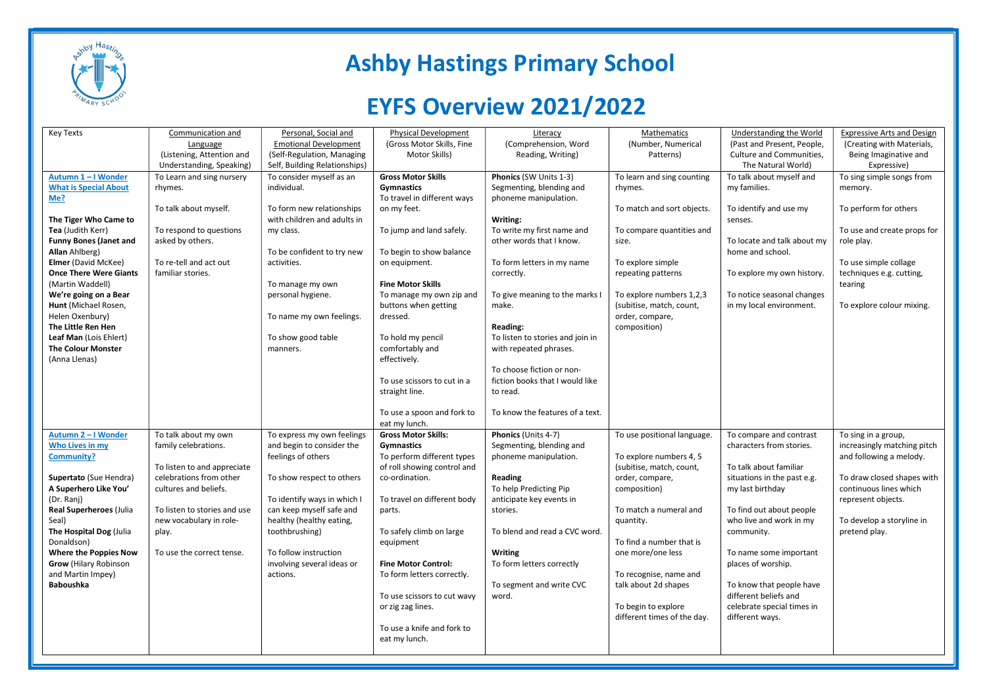

## Ashby Hastings Primary School

## EYFS Overview 2021/2022

| <b>Key Texts</b>                              | Communication and            | Personal, Social and          | <b>Physical Development</b>                      | Literacy                                | Mathematics                                          | Understanding the World                                | <b>Expressive Arts and Design</b> |
|-----------------------------------------------|------------------------------|-------------------------------|--------------------------------------------------|-----------------------------------------|------------------------------------------------------|--------------------------------------------------------|-----------------------------------|
|                                               | Language                     | <b>Emotional Development</b>  | (Gross Motor Skills, Fine                        | (Comprehension, Word                    | (Number, Numerical                                   | (Past and Present, People,                             | (Creating with Materials,         |
|                                               | (Listening, Attention and    | (Self-Regulation, Managing    | Motor Skills)                                    | Reading, Writing)                       | Patterns)                                            | Culture and Communities,                               | Being Imaginative and             |
|                                               | Understanding, Speaking)     | Self, Building Relationships) |                                                  |                                         |                                                      | The Natural World)                                     | Expressive)                       |
| Autumn 1-I Wonder                             | To Learn and sing nursery    | To consider myself as an      | <b>Gross Motor Skills</b>                        | Phonics (SW Units 1-3)                  | To learn and sing counting                           | To talk about myself and                               | To sing simple songs from         |
| <b>What is Special About</b>                  | rhymes.                      | individual.                   | Gymnastics                                       | Segmenting, blending and                | rhymes.                                              | my families.                                           | memory.                           |
| Me?                                           |                              |                               | To travel in different ways                      | phoneme manipulation.                   |                                                      |                                                        |                                   |
|                                               | To talk about myself.        | To form new relationships     | on my feet.                                      |                                         | To match and sort objects.                           | To identify and use my                                 | To perform for others             |
| The Tiger Who Came to                         |                              | with children and adults in   |                                                  | Writing:                                |                                                      | senses.                                                |                                   |
| Tea (Judith Kerr)                             | To respond to questions      | my class.                     | To jump and land safely.                         | To write my first name and              | To compare quantities and                            |                                                        | To use and create props for       |
| <b>Funny Bones (Janet and</b>                 | asked by others.             |                               |                                                  | other words that I know.                | size.                                                | To locate and talk about my                            | role play.                        |
| Allan Ahlberg)                                |                              | To be confident to try new    | To begin to show balance                         |                                         |                                                      | home and school.                                       |                                   |
| <b>Elmer</b> (David McKee)                    | To re-tell and act out       | activities.                   | on equipment.                                    | To form letters in my name              | To explore simple                                    |                                                        | To use simple collage             |
| <b>Once There Were Giants</b>                 | familiar stories.            |                               | <b>Fine Motor Skills</b>                         | correctly.                              | repeating patterns                                   | To explore my own history.                             | techniques e.g. cutting,          |
| (Martin Waddell)                              |                              | To manage my own              |                                                  |                                         |                                                      |                                                        | tearing                           |
| We're going on a Bear<br>Hunt (Michael Rosen, |                              | personal hygiene.             | To manage my own zip and<br>buttons when getting | To give meaning to the marks I<br>make. | To explore numbers 1,2,3<br>(subitise, match, count, | To notice seasonal changes<br>in my local environment. | To explore colour mixing.         |
| Helen Oxenbury)                               |                              | To name my own feelings.      | dressed.                                         |                                         | order, compare,                                      |                                                        |                                   |
| The Little Ren Hen                            |                              |                               |                                                  | Reading:                                | composition)                                         |                                                        |                                   |
| Leaf Man (Lois Ehlert)                        |                              | To show good table            | To hold my pencil                                | To listen to stories and join in        |                                                      |                                                        |                                   |
| <b>The Colour Monster</b>                     |                              | manners.                      | comfortably and                                  | with repeated phrases.                  |                                                      |                                                        |                                   |
| (Anna Llenas)                                 |                              |                               | effectively.                                     |                                         |                                                      |                                                        |                                   |
|                                               |                              |                               |                                                  | To choose fiction or non-               |                                                      |                                                        |                                   |
|                                               |                              |                               | To use scissors to cut in a                      | fiction books that I would like         |                                                      |                                                        |                                   |
|                                               |                              |                               | straight line.                                   | to read.                                |                                                      |                                                        |                                   |
|                                               |                              |                               |                                                  |                                         |                                                      |                                                        |                                   |
|                                               |                              |                               | To use a spoon and fork to                       | To know the features of a text.         |                                                      |                                                        |                                   |
|                                               |                              |                               | eat my lunch.                                    |                                         |                                                      |                                                        |                                   |
| Autumn 2-I Wonder                             | To talk about my own         | To express my own feelings    | <b>Gross Motor Skills:</b>                       | Phonics (Units 4-7)                     | To use positional language.                          | To compare and contrast                                | To sing in a group,               |
| <b>Who Lives in my</b>                        | family celebrations.         | and begin to consider the     | <b>Gymnastics</b>                                | Segmenting, blending and                |                                                      | characters from stories.                               | increasingly matching pitch       |
| Community?                                    |                              | feelings of others            | To perform different types                       | phoneme manipulation.                   | To explore numbers 4, 5                              |                                                        | and following a melody.           |
|                                               | To listen to and appreciate  |                               | of roll showing control and                      |                                         | (subitise, match, count,                             | To talk about familiar                                 |                                   |
| Supertato (Sue Hendra)                        | celebrations from other      | To show respect to others     | co-ordination.                                   | Reading                                 | order, compare,                                      | situations in the past e.g.                            | To draw closed shapes with        |
| A Superhero Like You'                         | cultures and beliefs.        |                               |                                                  | To help Predicting Pip                  | composition)                                         | my last birthday                                       | continuous lines which            |
| (Dr. Ranj)                                    |                              | To identify ways in which I   | To travel on different body                      | anticipate key events in                |                                                      |                                                        | represent objects.                |
| Real Superheroes (Julia                       | To listen to stories and use | can keep myself safe and      | parts.                                           | stories.                                | To match a numeral and                               | To find out about people                               |                                   |
| Seal)                                         | new vocabulary in role-      | healthy (healthy eating,      |                                                  |                                         | quantity.                                            | who live and work in my                                | To develop a storyline in         |
| The Hospital Dog (Julia                       | play.                        | toothbrushing)                | To safely climb on large                         | To blend and read a CVC word.           | To find a number that is                             | community.                                             | pretend play.                     |
| Donaldson)<br><b>Where the Poppies Now</b>    | To use the correct tense.    | To follow instruction         | equipment                                        | <b>Writing</b>                          | one more/one less                                    | To name some important                                 |                                   |
| <b>Grow (Hilary Robinson</b>                  |                              | involving several ideas or    | <b>Fine Motor Control:</b>                       | To form letters correctly               |                                                      | places of worship.                                     |                                   |
| and Martin Impey)                             |                              | actions.                      | To form letters correctly.                       |                                         | To recognise, name and                               |                                                        |                                   |
| Baboushka                                     |                              |                               |                                                  | To segment and write CVC                | talk about 2d shapes                                 | To know that people have                               |                                   |
|                                               |                              |                               | To use scissors to cut wavy                      | word.                                   |                                                      | different beliefs and                                  |                                   |
|                                               |                              |                               | or zig zag lines.                                |                                         | To begin to explore                                  | celebrate special times in                             |                                   |
|                                               |                              |                               |                                                  |                                         | different times of the day.                          | different ways.                                        |                                   |
|                                               |                              |                               | To use a knife and fork to                       |                                         |                                                      |                                                        |                                   |
|                                               |                              |                               | eat my lunch.                                    |                                         |                                                      |                                                        |                                   |
|                                               |                              |                               |                                                  |                                         |                                                      |                                                        |                                   |
|                                               |                              |                               |                                                  |                                         |                                                      |                                                        |                                   |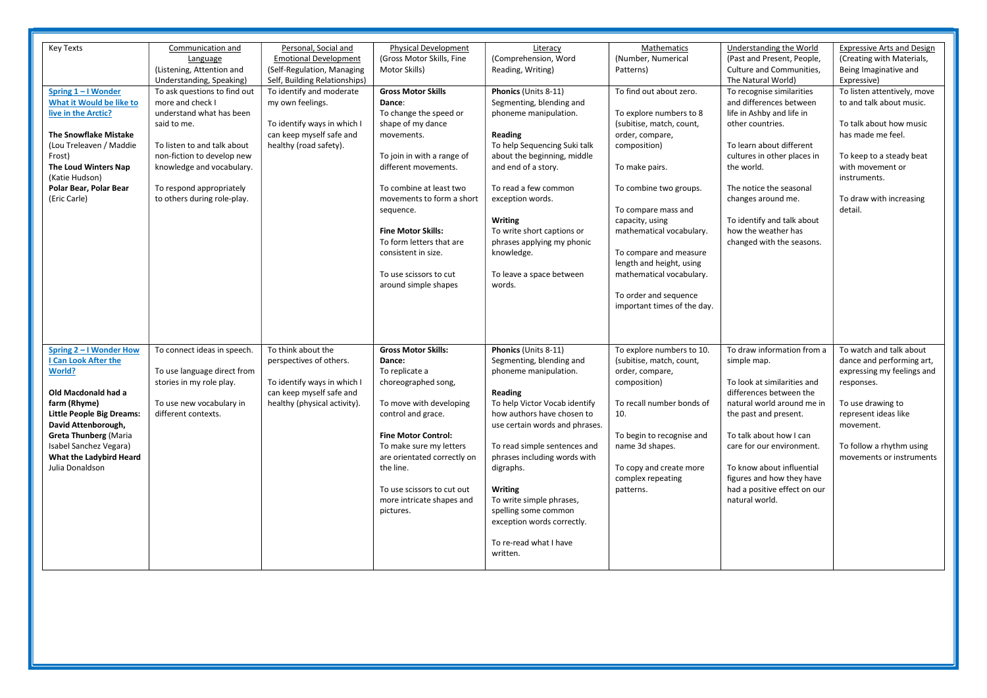| <b>Key Texts</b>                 | Communication and            | Personal, Social and          | <b>Physical Development</b>                           | Literacy                       | Mathematics                 | Understanding the World                          | <b>Expressive Arts and Design</b> |
|----------------------------------|------------------------------|-------------------------------|-------------------------------------------------------|--------------------------------|-----------------------------|--------------------------------------------------|-----------------------------------|
|                                  | Language                     | <b>Emotional Development</b>  | (Gross Motor Skills, Fine                             | (Comprehension, Word           | (Number, Numerical          | (Past and Present, People,                       | (Creating with Materials,         |
|                                  | (Listening, Attention and    | (Self-Regulation, Managing    | Motor Skills)                                         | Reading, Writing)              | Patterns)                   | Culture and Communities,                         | Being Imaginative and             |
|                                  | Understanding, Speaking)     | Self, Building Relationships) |                                                       |                                |                             | The Natural World)                               | Expressive)                       |
| Spring 1-I Wonder                | To ask questions to find out | To identify and moderate      | <b>Gross Motor Skills</b>                             | Phonics (Units 8-11)           | To find out about zero.     | To recognise similarities                        | To listen attentively, move       |
| What it Would be like to         | more and check I             | my own feelings.              | Dance:                                                | Segmenting, blending and       |                             | and differences between                          | to and talk about music.          |
| live in the Arctic?              | understand what has been     |                               | To change the speed or                                | phoneme manipulation.          | To explore numbers to 8     | life in Ashby and life in                        |                                   |
|                                  | said to me.                  | To identify ways in which I   | shape of my dance                                     |                                | (subitise, match, count,    | other countries.                                 | To talk about how music           |
| <b>The Snowflake Mistake</b>     |                              | can keep myself safe and      | movements.                                            | Reading                        | order, compare,             |                                                  | has made me feel.                 |
| (Lou Treleaven / Maddie          | To listen to and talk about  | healthy (road safety).        |                                                       | To help Sequencing Suki talk   | composition)                | To learn about different                         |                                   |
| Frost)                           | non-fiction to develop new   |                               | To join in with a range of                            | about the beginning, middle    |                             | cultures in other places in                      | To keep to a steady beat          |
| The Loud Winters Nap             | knowledge and vocabulary.    |                               | different movements.                                  | and end of a story.            | To make pairs.              | the world.                                       | with movement or                  |
| (Katie Hudson)                   |                              |                               |                                                       |                                |                             |                                                  | instruments.                      |
| Polar Bear, Polar Bear           | To respond appropriately     |                               | To combine at least two                               | To read a few common           | To combine two groups.      | The notice the seasonal                          |                                   |
| (Eric Carle)                     | to others during role-play.  |                               | movements to form a short                             | exception words.               |                             | changes around me.                               | To draw with increasing           |
|                                  |                              |                               |                                                       |                                | To compare mass and         |                                                  | detail.                           |
|                                  |                              |                               | sequence.                                             | <b>Writing</b>                 |                             | To identify and talk about                       |                                   |
|                                  |                              |                               |                                                       |                                | capacity, using             |                                                  |                                   |
|                                  |                              |                               | <b>Fine Motor Skills:</b><br>To form letters that are | To write short captions or     | mathematical vocabulary.    | how the weather has<br>changed with the seasons. |                                   |
|                                  |                              |                               |                                                       | phrases applying my phonic     |                             |                                                  |                                   |
|                                  |                              |                               | consistent in size.                                   | knowledge.                     | To compare and measure      |                                                  |                                   |
|                                  |                              |                               |                                                       |                                | length and height, using    |                                                  |                                   |
|                                  |                              |                               | To use scissors to cut                                | To leave a space between       | mathematical vocabulary.    |                                                  |                                   |
|                                  |                              |                               | around simple shapes                                  | words.                         |                             |                                                  |                                   |
|                                  |                              |                               |                                                       |                                | To order and sequence       |                                                  |                                   |
|                                  |                              |                               |                                                       |                                | important times of the day. |                                                  |                                   |
|                                  |                              |                               |                                                       |                                |                             |                                                  |                                   |
|                                  |                              |                               |                                                       |                                |                             |                                                  |                                   |
|                                  |                              |                               |                                                       |                                |                             |                                                  |                                   |
| Spring 2 - I Wonder How          | To connect ideas in speech.  | To think about the            | <b>Gross Motor Skills:</b>                            | Phonics (Units 8-11)           | To explore numbers to 10.   | To draw information from a                       | To watch and talk about           |
| I Can Look After the             |                              | perspectives of others.       | Dance:                                                | Segmenting, blending and       | (subitise, match, count,    | simple map.                                      | dance and performing art,         |
| <b>World?</b>                    | To use language direct from  |                               | To replicate a                                        | phoneme manipulation.          | order, compare,             |                                                  | expressing my feelings and        |
|                                  | stories in my role play.     | To identify ways in which I   | choreographed song,                                   |                                | composition)                | To look at similarities and                      | responses.                        |
| Old Macdonald had a              |                              | can keep myself safe and      |                                                       | Reading                        |                             | differences between the                          |                                   |
| farm (Rhyme)                     | To use new vocabulary in     | healthy (physical activity).  | To move with developing                               | To help Victor Vocab identify  | To recall number bonds of   | natural world around me in                       | To use drawing to                 |
| <b>Little People Big Dreams:</b> | different contexts.          |                               | control and grace.                                    | how authors have chosen to     | 10.                         | the past and present.                            | represent ideas like              |
| David Attenborough,              |                              |                               |                                                       | use certain words and phrases. |                             |                                                  | movement.                         |
| <b>Greta Thunberg (Maria</b>     |                              |                               | <b>Fine Motor Control:</b>                            |                                | To begin to recognise and   | To talk about how I can                          |                                   |
| Isabel Sanchez Vegara)           |                              |                               | To make sure my letters                               | To read simple sentences and   | name 3d shapes.             | care for our environment.                        | To follow a rhythm using          |
| What the Ladybird Heard          |                              |                               | are orientated correctly on                           | phrases including words with   |                             |                                                  | movements or instruments          |
| Julia Donaldson                  |                              |                               | the line.                                             | digraphs.                      | To copy and create more     | To know about influential                        |                                   |
|                                  |                              |                               |                                                       |                                | complex repeating           | figures and how they have                        |                                   |
|                                  |                              |                               | To use scissors to cut out                            | Writing                        | patterns.                   | had a positive effect on our                     |                                   |
|                                  |                              |                               | more intricate shapes and                             | To write simple phrases,       |                             | natural world.                                   |                                   |
|                                  |                              |                               |                                                       |                                |                             |                                                  |                                   |
|                                  |                              |                               | pictures.                                             | spelling some common           |                             |                                                  |                                   |
|                                  |                              |                               |                                                       | exception words correctly.     |                             |                                                  |                                   |
|                                  |                              |                               |                                                       |                                |                             |                                                  |                                   |
|                                  |                              |                               |                                                       | To re-read what I have         |                             |                                                  |                                   |
|                                  |                              |                               |                                                       | written.                       |                             |                                                  |                                   |
|                                  |                              |                               |                                                       |                                |                             |                                                  |                                   |